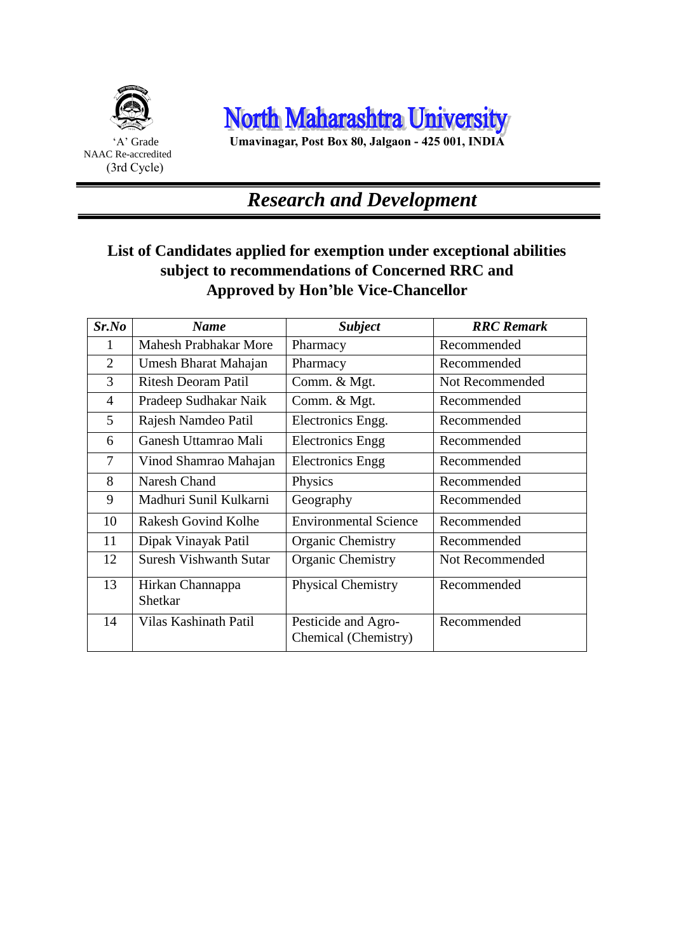

 Ξ

North Maharashtra University

'A' Grade **Umavinagar, Post Box 80, Jalgaon - 425 001, INDIA**

### *Research and Development*

#### **List of Candidates applied for exemption under exceptional abilities subject to recommendations of Concerned RRC and Approved by Hon'ble Vice-Chancellor**

| Sr.No          | <b>Name</b>                   | <b>Subject</b>                              | <b>RRC</b> Remark |
|----------------|-------------------------------|---------------------------------------------|-------------------|
| 1              | <b>Mahesh Prabhakar More</b>  | Pharmacy                                    | Recommended       |
| $\overline{2}$ | Umesh Bharat Mahajan          | Pharmacy                                    | Recommended       |
| 3              | <b>Ritesh Deoram Patil</b>    | Comm. & Mgt.                                | Not Recommended   |
| $\overline{4}$ | Pradeep Sudhakar Naik         | Comm. & Mgt.                                | Recommended       |
| 5              | Rajesh Namdeo Patil           | Electronics Engg.                           | Recommended       |
| 6              | Ganesh Uttamrao Mali          | <b>Electronics Engg</b>                     | Recommended       |
| 7              | Vinod Shamrao Mahajan         | <b>Electronics Engg</b>                     | Recommended       |
| 8              | Naresh Chand                  | Physics                                     | Recommended       |
| 9              | Madhuri Sunil Kulkarni        | Geography                                   | Recommended       |
| 10             | <b>Rakesh Govind Kolhe</b>    | <b>Environmental Science</b>                | Recommended       |
| 11             | Dipak Vinayak Patil           | Organic Chemistry                           | Recommended       |
| 12             | <b>Suresh Vishwanth Sutar</b> | Organic Chemistry                           | Not Recommended   |
| 13             | Hirkan Channappa<br>Shetkar   | <b>Physical Chemistry</b>                   | Recommended       |
| 14             | Vilas Kashinath Patil         | Pesticide and Agro-<br>Chemical (Chemistry) | Recommended       |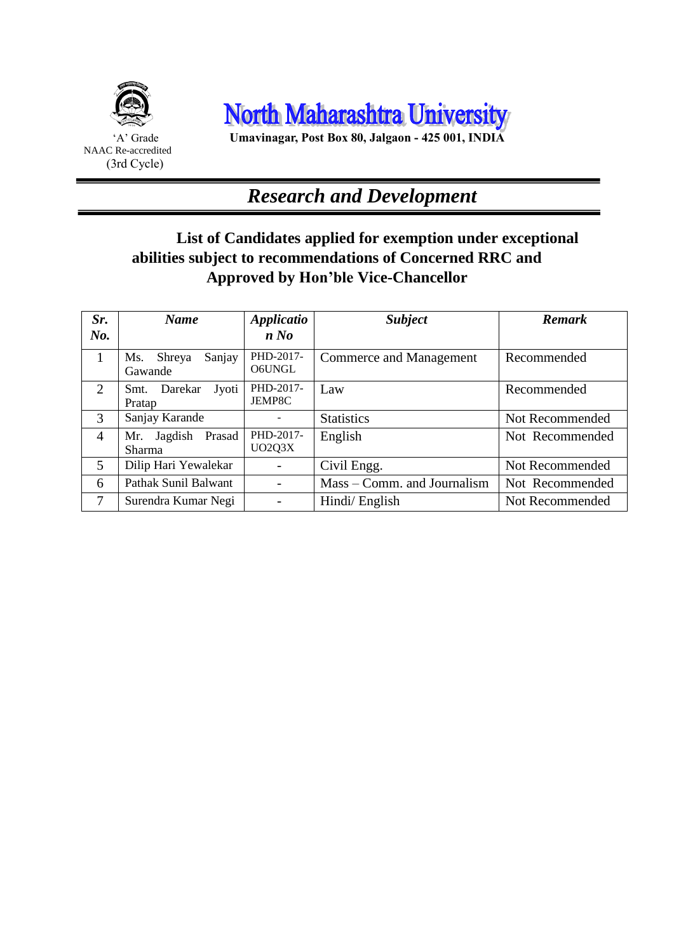



'A' Grade **Umavinagar, Post Box 80, Jalgaon - 425 001, INDIA**

# *Research and Development*

#### **List of Candidates applied for exemption under exceptional abilities subject to recommendations of Concerned RRC and Approved by Hon'ble Vice-Chancellor**

| Sr.            | <b>Name</b>                        | <b>Applicatio</b>   | <b>Subject</b>              | <b>Remark</b>   |
|----------------|------------------------------------|---------------------|-----------------------------|-----------------|
| $N0$ .         |                                    | n No                |                             |                 |
|                | Sanjay<br>Shreya<br>Ms.<br>Gawande | PHD-2017-<br>O6UNGL | Commerce and Management     | Recommended     |
| 2              | Jyoti<br>Darekar<br>Smt.<br>Pratap | PHD-2017-<br>JEMP8C | Law                         | Recommended     |
| 3              | Sanjay Karande                     |                     | <b>Statistics</b>           | Not Recommended |
| $\overline{4}$ | Mr. Jagdish Prasad<br>Sharma       | PHD-2017-<br>UO2Q3X | English                     | Not Recommended |
| 5              | Dilip Hari Yewalekar               |                     | Civil Engg.                 | Not Recommended |
| 6              | Pathak Sunil Balwant               |                     | Mass – Comm. and Journalism | Not Recommended |
| 7              | Surendra Kumar Negi                |                     | Hindi/English               | Not Recommended |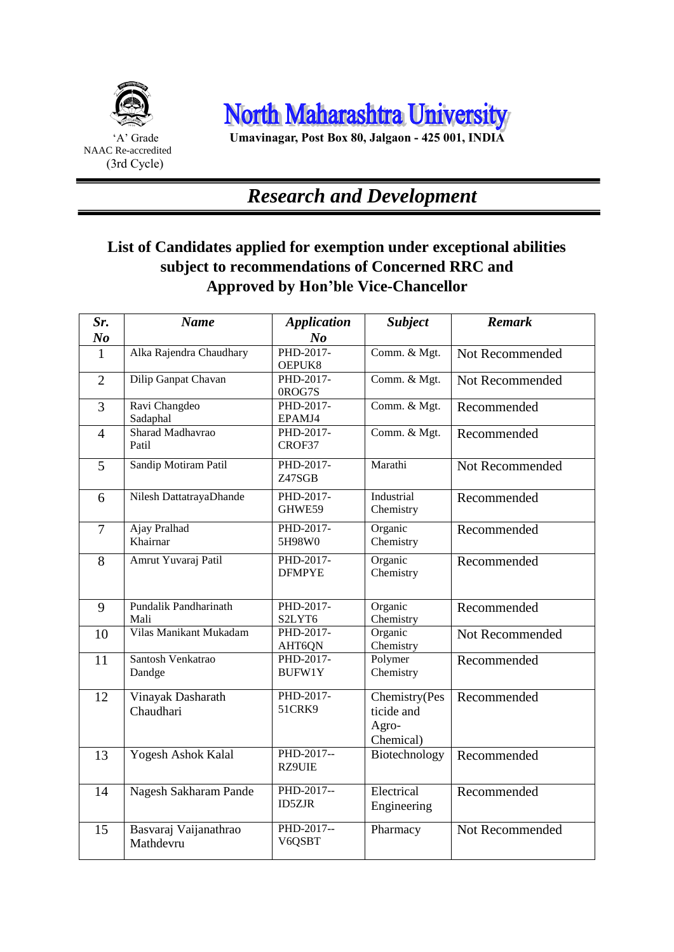

 Ξ



'A' Grade **Umavinagar, Post Box 80, Jalgaon - 425 001, INDIA**

## *Research and Development*

#### **List of Candidates applied for exemption under exceptional abilities subject to recommendations of Concerned RRC and Approved by Hon'ble Vice-Chancellor**

| Sr.            | <b>Name</b>                          | <b>Application</b>            | <b>Subject</b>                                    | <b>Remark</b>   |
|----------------|--------------------------------------|-------------------------------|---------------------------------------------------|-----------------|
| N <sub>o</sub> |                                      | $N_{0}$                       |                                                   |                 |
| 1              | Alka Rajendra Chaudhary              | PHD-2017-<br>OEPUK8           | Comm. & Mgt.                                      | Not Recommended |
| $\overline{2}$ | Dilip Ganpat Chavan                  | PHD-2017-                     | Comm. & Mgt.                                      | Not Recommended |
| $\overline{3}$ | Ravi Changdeo<br>Sadaphal            | 0ROG7S<br>PHD-2017-<br>EPAMJ4 | Comm. & Mgt.                                      | Recommended     |
| $\overline{4}$ | Sharad Madhavrao<br>Patil            | PHD-2017-<br>CROF37           | Comm. & Mgt.                                      | Recommended     |
| 5              | Sandip Motiram Patil                 | PHD-2017-<br>Z47SGB           | Marathi                                           | Not Recommended |
| 6              | Nilesh DattatrayaDhande              | PHD-2017-<br>GHWE59           | Industrial<br>Chemistry                           | Recommended     |
| $\overline{7}$ | Ajay Pralhad<br>Khairnar             | PHD-2017-<br>5H98W0           | Organic<br>Chemistry                              | Recommended     |
| 8              | Amrut Yuvaraj Patil                  | PHD-2017-<br><b>DFMPYE</b>    | Organic<br>Chemistry                              | Recommended     |
| 9              | <b>Pundalik Pandharinath</b><br>Mali | PHD-2017-<br>S2LYT6           | Organic<br>Chemistry                              | Recommended     |
| 10             | Vilas Manikant Mukadam               | PHD-2017-<br>AHT6QN           | Organic<br>Chemistry                              | Not Recommended |
| 11             | Santosh Venkatrao<br>Dandge          | PHD-2017-<br><b>BUFW1Y</b>    | Polymer<br>Chemistry                              | Recommended     |
| 12             | Vinayak Dasharath<br>Chaudhari       | PHD-2017-<br>51CRK9           | Chemistry(Pes<br>ticide and<br>Agro-<br>Chemical) | Recommended     |
| 13             | <b>Yogesh Ashok Kalal</b>            | PHD-2017--<br><b>RZ9UIE</b>   | Biotechnology                                     | Recommended     |
| 14             | Nagesh Sakharam Pande                | PHD-2017--<br><b>ID5ZJR</b>   | Electrical<br>Engineering                         | Recommended     |
| 15             | Basvaraj Vaijanathrao<br>Mathdevru   | PHD-2017--<br>V6QSBT          | Pharmacy                                          | Not Recommended |